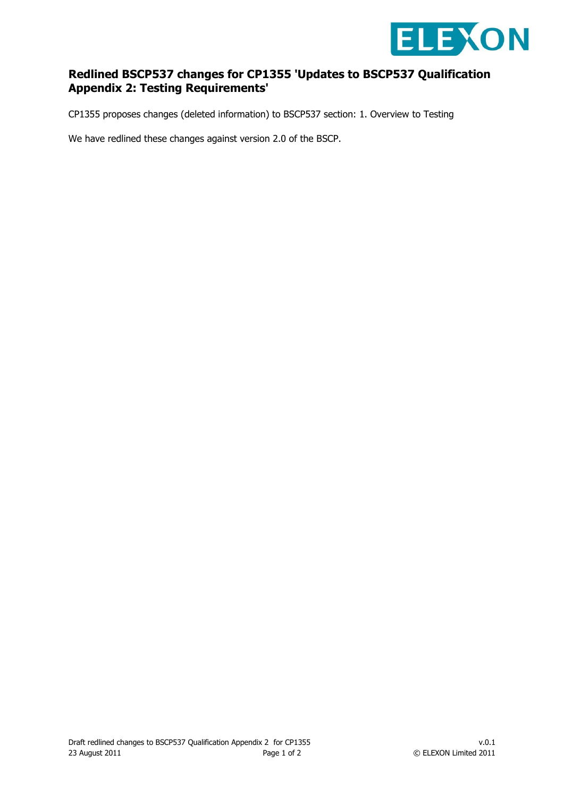

## **Redlined BSCP537 changes for CP1355 'Updates to BSCP537 Qualification Appendix 2: Testing Requirements'**

CP1355 proposes changes (deleted information) to BSCP537 section: 1. Overview to Testing

We have redlined these changes against version 2.0 of the BSCP.